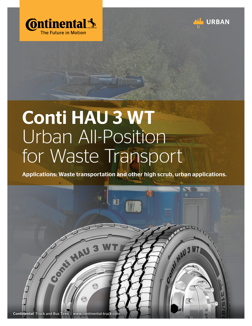



## Conti HAU 3 WT Urban All-Position for Waste Transport

Applications: Waste transportation and other high scrub, urban applications.